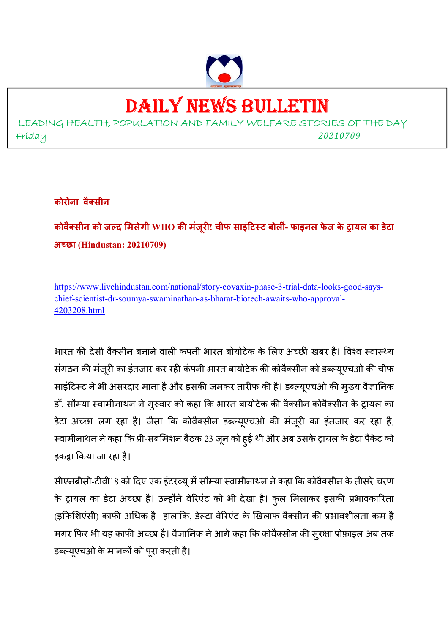

# DAILY NEWS BULLETIN

LEADING HEALTH, POPULATION AND FAMILY WELFARE STORIES OF THE DAY Friday *<sup>20210709</sup>*

**कोरोना** वैक्सीन

**कोवै सीन को ज
द मलेगी WHO क मंजूर! चीफ साइंटट बोलं- फाइनल फे ज के ायल का डेटा अ#छा (Hindustan: 20210709)** 

https://www.livehindustan.com/national/story-covaxin-phase-3-trial-data-looks-good-sayschief-scientist-dr-soumya-swaminathan-as-bharat-biotech-awaits-who-approval-4203208.html

भारत की देसी वैक्सीन बनाने वाली कंपनी भारत बोयोटेक के लिए अच्छी खबर है। विश्व स्वास्थ्य संगठन की मंजूरी का इंतजार कर रही कंपनी भारत बायोटेक की कोवैक्सीन को डब्ल्यूएचओ की चीफ साइंटिस्ट ने भी असरदार माना है और इसकी जमकर तारीफ की है। डब्ल्यूएचओ की मुख्य वैज्ञानिक डॉ. सौम्या स्वामीनाथन ने गुरुवार को कहा कि भारत बायोटेक की वैक्सीन कोवैक्सीन के ट्रायल का डेटा अच्छा लग रहा है। जैसा कि कोवैक्सीन डब्ल्यूएचओ की मंजूरी का इंतजार कर रहा है, स्वामीनाथन ने कहा कि प्री-सबमिशन बैठक 23 जून को हुई थी और अब उसके ट्रायल के डेटा पैकेट को इकट्ठा किया जा रहा है।

सीएनबीसी-टीवी18 को दिए एक इंटरव्यू में सौम्या स्वामीनाथन ने कहा कि कोवैक्सीन के तीसरे चरण के ट्रायल का डेटा अच्छा है। उन्होंने वेरिएंट को भी देखा है। कुल मिलाकर इसकी प्रभावकारिता (इफिशिएंसी) काफी अधिक है। हालांकि, डेल्टा वेरिएंट के खिलाफ वैक्सीन की प्रभावशीलता कम है मगर फिर भी यह काफी अच्छा है। वैज्ञानिक ने आगे कहा कि कोवैक्सीन की सुरक्षा प्रोफ़ाइल अब तक डब्ल्यूएचओ के मानकों को पूरा करती है।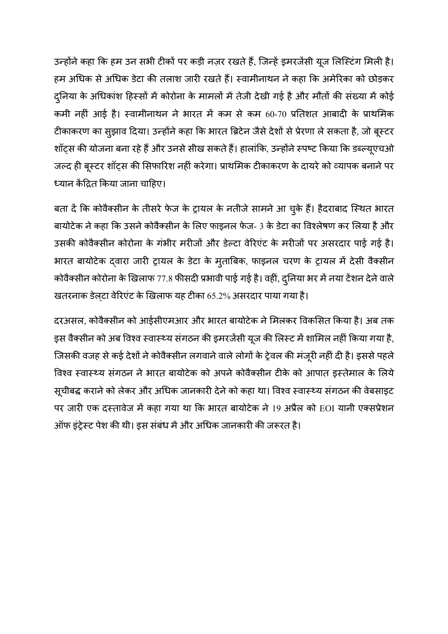उन्होंने कहा कि हम उन सभी टीकों पर कड़ी नज़र रखते हैं, जिन्हें इमरजेंसी यूज लिस्टिंग मिली है। हम अधिक से अधिक डेटा की तलाश जारी रखते हैं। स्वामीनाथन ने कहा कि अमेरिका को छोड़कर दुनिया के अधिकांश हिस्सों में कोरोना के मामलों में तेजी देखी गई है और मौतों की संख्या में कोई कमी नहीं आई है। स्वामीनाथन ने भारत में कम से कम 60-70 प्रतिशत आबादी के प्राथमिक टीकाकरण का सुझाव दिया। उन्होंने कहा कि भारत ब्रिटेन जैसे देशों से प्रेरणा ले सकता है, जो बूस्टर शॉट्स की योजना बना रहे हैं और उनसे सीख सकते हैं। हालांकि, उन्होंने स्पष्ट किया कि डब्ल्यूएचओ जल्द ही बूस्टर शॉट्स की सिफारिश नहीं करेगा। प्राथमिक टीकाकरण के दायरे को व्यापक बनाने पर ध्यान केंद्रित किया जाना चाहिए।

बता दें कि कोवैक्सीन के तीसरे फेज के ट्रायल के नतीजे सामने आ चुके हैं। हैदराबाद स्थित भारत बायोटेक ने कहा कि उसने कोवैक्सीन के लिए फाइनल फेज- 3 के डेटा का विश्लेषण कर लिया है और उसकी कोवैक्सीन कोरोना के गंभीर मरीजों और डेल्टा वेरिएंट के मरीजों पर असरदार पाई गई है। भारत बायोटेक द्वारा जारी ट्रायल के डेटा के मुताबिक, फाइनल चरण के ट्रायल में देसी वैक्सीन कोवैक्सीन कोरोना के खिलाफ 77.8 फीसदी प्रभावी पाई गई है। वहीं, दुनिया भर में नया टेंशन देने वाले खतरनाक डेल्टा वेरिएंट के खिलाफ यह टीका 65.2% असरदार पाया गया है।

दरअसल, कोवैक्सीन को आईसीएमआर और भारत बायोटेक ने मिलकर विकसित किया है। अब तक इस वैक्सीन को अब विश्व स्वास्थ्य संगठन की इमरजेंसी यूज की लिस्ट में शामिल नहीं किया गया है, जिसकी वजह से कई देशों ने कोवैक्सीन लगवाने वाले लोगों के ट्रेवल की मंजूरी नहीं दी है। इससे पहले विश्व स्वास्थ्य संगठन ने भारत बायोटेक को अपने कोवैक्सीन टीके को आपात इस्तेमाल के लिये सूचीबद्ध कराने को लेकर और अधिक जानकारी देने को कहा था। विश्व स्वास्थ्य संगठन की वेबसाइट पर जारी एक दस्तावेज में कहा गया था कि भारत बायोटेक ने 19 अप्रैल को EOI यानी एक्सप्रेशन ऑफ इंट्रेस्ट पेश की थी। इस संबंध में और अधिक जानकारी की जरूरत है।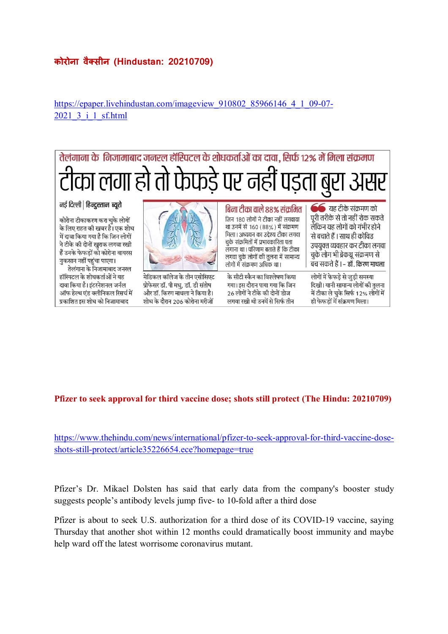## **कोरोना वै सीन (Hindustan: 20210709)**

https://epaper.livehindustan.com/imageview\_910802\_85966146\_4\_1\_09-07-2021\_3\_i\_1\_sf.html



#### **Pfizer to seek approval for third vaccine dose; shots still protect (The Hindu: 20210709)**

https://www.thehindu.com/news/international/pfizer-to-seek-approval-for-third-vaccine-doseshots-still-protect/article35226654.ece?homepage=true

Pfizer's Dr. Mikael Dolsten has said that early data from the company's booster study suggests people's antibody levels jump five- to 10-fold after a third dose

Pfizer is about to seek U.S. authorization for a third dose of its COVID-19 vaccine, saying Thursday that another shot within 12 months could dramatically boost immunity and maybe help ward off the latest worrisome coronavirus mutant.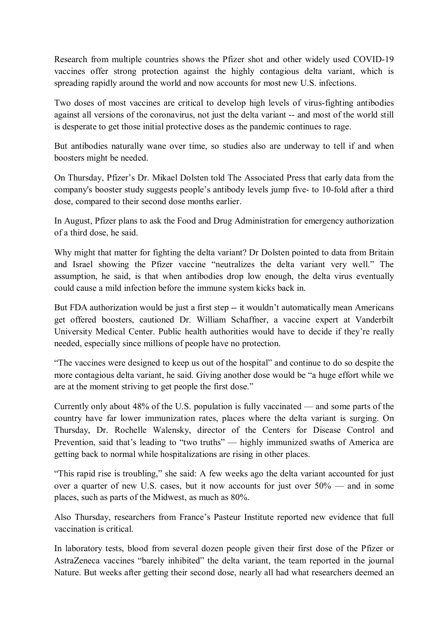Research from multiple countries shows the Pfizer shot and other widely used COVID-19 vaccines offer strong protection against the highly contagious delta variant, which is spreading rapidly around the world and now accounts for most new U.S. infections.

Two doses of most vaccines are critical to develop high levels of virus-fighting antibodies against all versions of the coronavirus, not just the delta variant -- and most of the world still is desperate to get those initial protective doses as the pandemic continues to rage.

But antibodies naturally wane over time, so studies also are underway to tell if and when boosters might be needed.

On Thursday, Pfizer's Dr. Mikael Dolsten told The Associated Press that early data from the company's booster study suggests people's antibody levels jump five- to 10-fold after a third dose, compared to their second dose months earlier.

In August, Pfizer plans to ask the Food and Drug Administration for emergency authorization of a third dose, he said.

Why might that matter for fighting the delta variant? Dr Dolsten pointed to data from Britain and Israel showing the Pfizer vaccine "neutralizes the delta variant very well." The assumption, he said, is that when antibodies drop low enough, the delta virus eventually could cause a mild infection before the immune system kicks back in.

But FDA authorization would be just a first step -- it wouldn't automatically mean Americans get offered boosters, cautioned Dr. William Schaffner, a vaccine expert at Vanderbilt University Medical Center. Public health authorities would have to decide if they're really needed, especially since millions of people have no protection.

"The vaccines were designed to keep us out of the hospital" and continue to do so despite the more contagious delta variant, he said. Giving another dose would be "a huge effort while we are at the moment striving to get people the first dose."

Currently only about 48% of the U.S. population is fully vaccinated — and some parts of the country have far lower immunization rates, places where the delta variant is surging. On Thursday, Dr. Rochelle Walensky, director of the Centers for Disease Control and Prevention, said that's leading to "two truths" — highly immunized swaths of America are getting back to normal while hospitalizations are rising in other places.

"This rapid rise is troubling," she said: A few weeks ago the delta variant accounted for just over a quarter of new U.S. cases, but it now accounts for just over 50% — and in some places, such as parts of the Midwest, as much as 80%.

Also Thursday, researchers from France's Pasteur Institute reported new evidence that full vaccination is critical.

In laboratory tests, blood from several dozen people given their first dose of the Pfizer or AstraZeneca vaccines "barely inhibited" the delta variant, the team reported in the journal Nature. But weeks after getting their second dose, nearly all had what researchers deemed an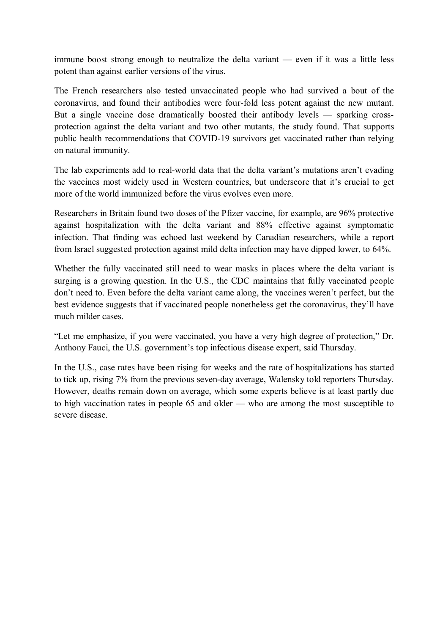immune boost strong enough to neutralize the delta variant — even if it was a little less potent than against earlier versions of the virus.

The French researchers also tested unvaccinated people who had survived a bout of the coronavirus, and found their antibodies were four-fold less potent against the new mutant. But a single vaccine dose dramatically boosted their antibody levels — sparking crossprotection against the delta variant and two other mutants, the study found. That supports public health recommendations that COVID-19 survivors get vaccinated rather than relying on natural immunity.

The lab experiments add to real-world data that the delta variant's mutations aren't evading the vaccines most widely used in Western countries, but underscore that it's crucial to get more of the world immunized before the virus evolves even more.

Researchers in Britain found two doses of the Pfizer vaccine, for example, are 96% protective against hospitalization with the delta variant and 88% effective against symptomatic infection. That finding was echoed last weekend by Canadian researchers, while a report from Israel suggested protection against mild delta infection may have dipped lower, to 64%.

Whether the fully vaccinated still need to wear masks in places where the delta variant is surging is a growing question. In the U.S., the CDC maintains that fully vaccinated people don't need to. Even before the delta variant came along, the vaccines weren't perfect, but the best evidence suggests that if vaccinated people nonetheless get the coronavirus, they'll have much milder cases.

"Let me emphasize, if you were vaccinated, you have a very high degree of protection," Dr. Anthony Fauci, the U.S. government's top infectious disease expert, said Thursday.

In the U.S., case rates have been rising for weeks and the rate of hospitalizations has started to tick up, rising 7% from the previous seven-day average, Walensky told reporters Thursday. However, deaths remain down on average, which some experts believe is at least partly due to high vaccination rates in people 65 and older — who are among the most susceptible to severe disease.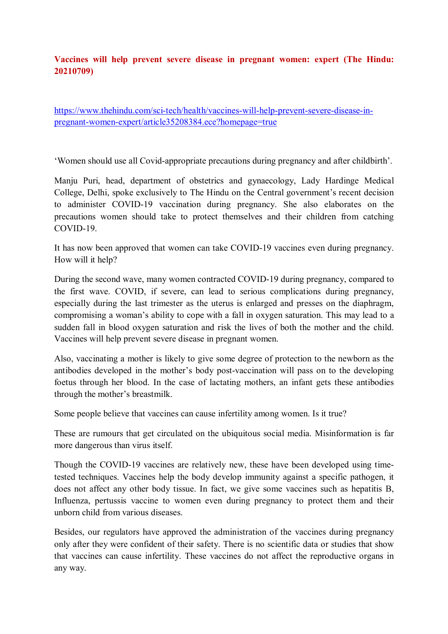**Vaccines will help prevent severe disease in pregnant women: expert (The Hindu: 20210709)** 

https://www.thehindu.com/sci-tech/health/vaccines-will-help-prevent-severe-disease-inpregnant-women-expert/article35208384.ece?homepage=true

'Women should use all Covid-appropriate precautions during pregnancy and after childbirth'.

Manju Puri, head, department of obstetrics and gynaecology, Lady Hardinge Medical College, Delhi, spoke exclusively to The Hindu on the Central government's recent decision to administer COVID-19 vaccination during pregnancy. She also elaborates on the precautions women should take to protect themselves and their children from catching COVID-19.

It has now been approved that women can take COVID-19 vaccines even during pregnancy. How will it help?

During the second wave, many women contracted COVID-19 during pregnancy, compared to the first wave. COVID, if severe, can lead to serious complications during pregnancy, especially during the last trimester as the uterus is enlarged and presses on the diaphragm, compromising a woman's ability to cope with a fall in oxygen saturation. This may lead to a sudden fall in blood oxygen saturation and risk the lives of both the mother and the child. Vaccines will help prevent severe disease in pregnant women.

Also, vaccinating a mother is likely to give some degree of protection to the newborn as the antibodies developed in the mother's body post-vaccination will pass on to the developing foetus through her blood. In the case of lactating mothers, an infant gets these antibodies through the mother's breastmilk.

Some people believe that vaccines can cause infertility among women. Is it true?

These are rumours that get circulated on the ubiquitous social media. Misinformation is far more dangerous than virus itself.

Though the COVID-19 vaccines are relatively new, these have been developed using timetested techniques. Vaccines help the body develop immunity against a specific pathogen, it does not affect any other body tissue. In fact, we give some vaccines such as hepatitis B, Influenza, pertussis vaccine to women even during pregnancy to protect them and their unborn child from various diseases.

Besides, our regulators have approved the administration of the vaccines during pregnancy only after they were confident of their safety. There is no scientific data or studies that show that vaccines can cause infertility. These vaccines do not affect the reproductive organs in any way.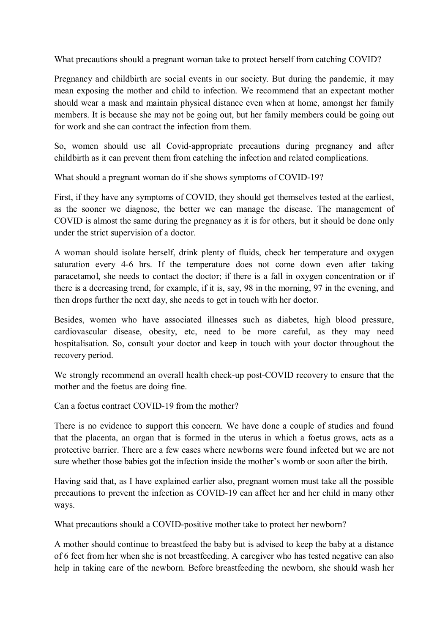What precautions should a pregnant woman take to protect herself from catching COVID?

Pregnancy and childbirth are social events in our society. But during the pandemic, it may mean exposing the mother and child to infection. We recommend that an expectant mother should wear a mask and maintain physical distance even when at home, amongst her family members. It is because she may not be going out, but her family members could be going out for work and she can contract the infection from them.

So, women should use all Covid-appropriate precautions during pregnancy and after childbirth as it can prevent them from catching the infection and related complications.

What should a pregnant woman do if she shows symptoms of COVID-19?

First, if they have any symptoms of COVID, they should get themselves tested at the earliest, as the sooner we diagnose, the better we can manage the disease. The management of COVID is almost the same during the pregnancy as it is for others, but it should be done only under the strict supervision of a doctor.

A woman should isolate herself, drink plenty of fluids, check her temperature and oxygen saturation every 4-6 hrs. If the temperature does not come down even after taking paracetamol, she needs to contact the doctor; if there is a fall in oxygen concentration or if there is a decreasing trend, for example, if it is, say, 98 in the morning, 97 in the evening, and then drops further the next day, she needs to get in touch with her doctor.

Besides, women who have associated illnesses such as diabetes, high blood pressure, cardiovascular disease, obesity, etc, need to be more careful, as they may need hospitalisation. So, consult your doctor and keep in touch with your doctor throughout the recovery period.

We strongly recommend an overall health check-up post-COVID recovery to ensure that the mother and the foetus are doing fine.

Can a foetus contract COVID-19 from the mother?

There is no evidence to support this concern. We have done a couple of studies and found that the placenta, an organ that is formed in the uterus in which a foetus grows, acts as a protective barrier. There are a few cases where newborns were found infected but we are not sure whether those babies got the infection inside the mother's womb or soon after the birth.

Having said that, as I have explained earlier also, pregnant women must take all the possible precautions to prevent the infection as COVID-19 can affect her and her child in many other ways.

What precautions should a COVID-positive mother take to protect her newborn?

A mother should continue to breastfeed the baby but is advised to keep the baby at a distance of 6 feet from her when she is not breastfeeding. A caregiver who has tested negative can also help in taking care of the newborn. Before breastfeeding the newborn, she should wash her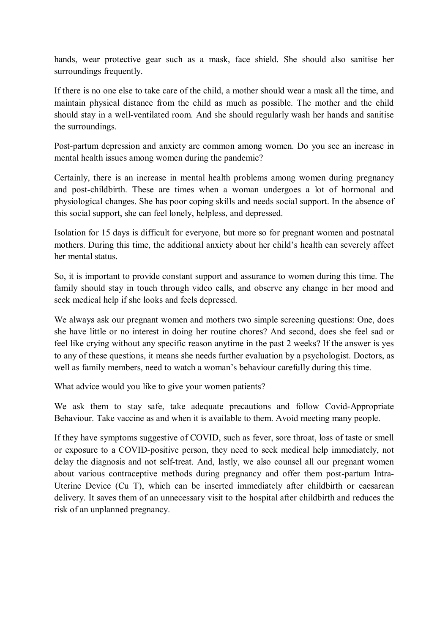hands, wear protective gear such as a mask, face shield. She should also sanitise her surroundings frequently.

If there is no one else to take care of the child, a mother should wear a mask all the time, and maintain physical distance from the child as much as possible. The mother and the child should stay in a well-ventilated room. And she should regularly wash her hands and sanitise the surroundings.

Post-partum depression and anxiety are common among women. Do you see an increase in mental health issues among women during the pandemic?

Certainly, there is an increase in mental health problems among women during pregnancy and post-childbirth. These are times when a woman undergoes a lot of hormonal and physiological changes. She has poor coping skills and needs social support. In the absence of this social support, she can feel lonely, helpless, and depressed.

Isolation for 15 days is difficult for everyone, but more so for pregnant women and postnatal mothers. During this time, the additional anxiety about her child's health can severely affect her mental status.

So, it is important to provide constant support and assurance to women during this time. The family should stay in touch through video calls, and observe any change in her mood and seek medical help if she looks and feels depressed.

We always ask our pregnant women and mothers two simple screening questions: One, does she have little or no interest in doing her routine chores? And second, does she feel sad or feel like crying without any specific reason anytime in the past 2 weeks? If the answer is yes to any of these questions, it means she needs further evaluation by a psychologist. Doctors, as well as family members, need to watch a woman's behaviour carefully during this time.

What advice would you like to give your women patients?

We ask them to stay safe, take adequate precautions and follow Covid-Appropriate Behaviour. Take vaccine as and when it is available to them. Avoid meeting many people.

If they have symptoms suggestive of COVID, such as fever, sore throat, loss of taste or smell or exposure to a COVID-positive person, they need to seek medical help immediately, not delay the diagnosis and not self-treat. And, lastly, we also counsel all our pregnant women about various contraceptive methods during pregnancy and offer them post-partum Intra-Uterine Device (Cu T), which can be inserted immediately after childbirth or caesarean delivery. It saves them of an unnecessary visit to the hospital after childbirth and reduces the risk of an unplanned pregnancy.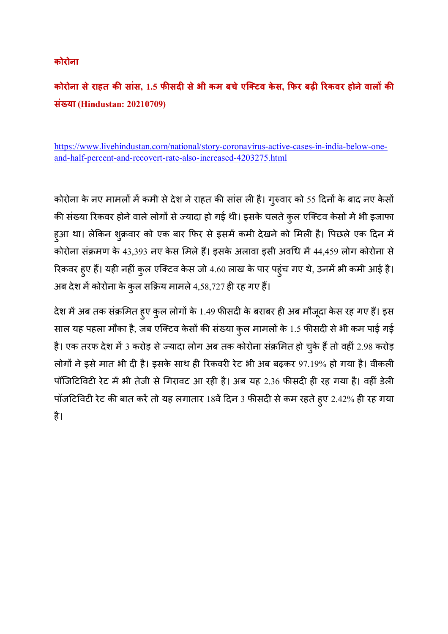**कोरोना**

**कोरोना सेराहत क सांस, 1.5 फसद सेभी कम बचेएि टव के स, :फर बढ़ <रकवर होनेवाल= क संख्या** (Hindustan: 20210709)

https://www.livehindustan.com/national/story-coronavirus-active-cases-in-india-below-oneand-half-percent-and-recovert-rate-also-increased-4203275.html

कोरोना के नए मामलों में कमी से देश ने राहत की सांस ली है। गुरुवार को 55 दिनों के बाद नए केसों की संख्या रिकवर होने वाले लोगों से ज्यादा हो गई थी। इसके चलते कुल एक्टिव केसों में भी इजाफा हुआ था। लेकिन शुक्रवार को एक बार फिर से इसमें कमी देखने को मिली है। पिछले एक दिन में कोरोना संक्रमण के 43,393 नए केस मिले हैं। इसके अलावा इसी अवधि में 44,459 लोग कोरोना से रिकवर हुए हैं। यही नहीं कुल एक्टिव केस जो 4.60 लाख के पार पहुंच गए थे, उनमें भी कमी आई है। अब देश में कोरोना के कुल सक्रिय मामले 4,58,727 ही रह गए हैं।

देश में अब तक संक्रमित हुए कुल लोगों के 1.49 फीसदी के बराबर ही अब मौजूदा केस रह गए हैं। इस साल यह पहला मौका है, जब एक्टिव केसों की संख्या कुल मामलों के 1.5 फीसदी से भी कम पाई गई है। एक तरफ देश में 3 करोड़ से ज्यादा लोग अब तक कोरोना संक्रमित हो चुके हैं तो वहीं 2.98 करोड़ लोगों ने इसे मात भी दी है। इसके साथ ही रिकवरी रेट भी अब बढ़कर 97.19% हो गया है। वीकली पॉजिटिविटी रेट में भी तेजी से गिरावट आ रही है। अब यह 2.36 फीसदी ही रह गया है। वहीं डेली पॉजटिविटी रेट की बात करें तो यह लगातार 18वें दिन 3 फीसदी से कम रहते हुए 2.42% ही रह गया है।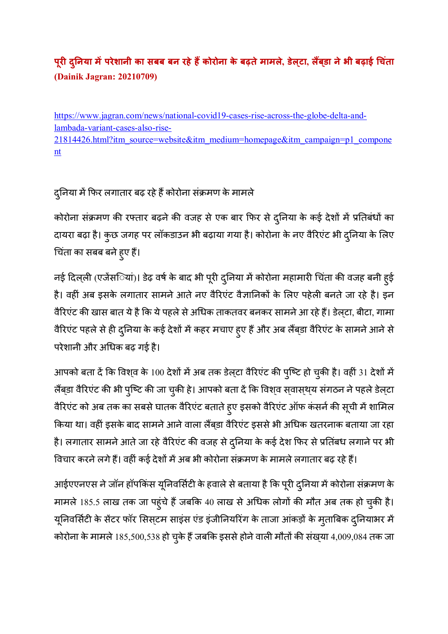## **पूर दAनया ु मBपरेशानी का सबब बन रहेहDकोरोना के बढ़तेमामले, डेलटा ् , लDबडा् नेभी बढ़ाई Gचंता (Dainik Jagran: 20210709)**

https://www.jagran.com/news/national-covid19-cases-rise-across-the-globe-delta-andlambada-variant-cases-also-rise-21814426.html?itm\_source=website&itm\_medium=homepage&itm\_campaign=p1\_compone nt

## दुनिया में फिर लगातार बढ़ रहे हैं कोरोना संक्रमण के मामले

कोरोना संक्रमण की रफ्तार बढ़ने की वजह से एक बार फिर से दुनिया के कई देशों में प्रतिबंधों का दायरा बढ़ा है। कुछ जगह पर लॉकडाउन भी बढ़ाया गया है। कोरोना के नए वैरिएंट भी दुनिया के लिए चिंता का सबब बने हुए हैं।

नई दिल्**ली (एजेंस**ियां)। डेढ़ वर्ष के बाद भी पूरी दुनिया में कोरोना महामारी चिंता की वजह बनी हुई है। वहीं अब इसके लगातार सामने आते नए वैरिएंट वैज्ञानिकों के लिए पहेली बनते जा रहे है। इन वैरिएंट की खास बात ये है कि ये पहले से अधिक ताकतवर बनकर सामने आ रहे हैं। डेल्टा, बीटा, गामा वैरिएंट पहले से ही दुनिया के कई देशों में कहर मचाए हुए हैं और अब लैंबड़ा वैरिएंट के सामने आने से परेशानी और अHधक बढ़ गई है।

आपको बता दें कि विश्**व के 100 देशों में अब तक डेल्**टा वैरिएंट की पुष्टि हो चुकी है। वहीं 31 देशों में लैंबड़ा वैरिएंट की भी पुष्टि की जा चुकी हे। आपको बता दें कि विश्व स्वास्थ्य संगठन ने पहले डेल्टा वैरिएंट को अब तक का सबसे घातक वैरिएंट बताते हुए इसको वैरिएंट ऑफ कंसर्न की सूची में शामिल किया था। वहीं इसके बाद सामने आने वाला लैंबड़ा वैरिएंट इससे भी अधिक खतरनाक बताया जा रहा है। लगातार सामने आते जा रहे वैरिएंट की वजह से दुनिया के कई देश फिर से प्रतिंबध लगाने पर भी

विचार करने लगे हैं। वहीं कई देशों में अब भी कोरोना संक्रमण के मामले लगातार बढ़ रहे हैं।

आईएएनएस ने जॉन हॉपकिंस यूनिवर्सिटी के हवाले से बताया है कि पूरी दुनिया में कोरोना संक्रमण के मामले 185.5 लाख तक जा पहुंचे हैं जबकि 40 लाख से अधिक लोगों की मौत अब तक हो चुकी है। यूनिवर्सिटी के सेंटर फॉर सिस्टम साइंस एंड इंजीनियरिंग के ताजा आंकड़ों के मुताबिक दुनियाभर में कोरोना के मामले 185,500,538 हो चुके हैं जबकि इससे होने वाली मौतों की संख्या 4,009,084 तक जा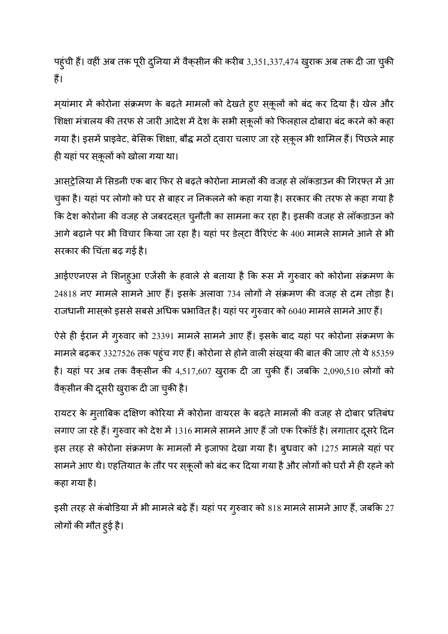पहुंची हैं। वहीं अब तक पूरी दुनिया में वैक्सीन की करीब 3,351,337,474 खुराक अब तक दी जा चुकी हैं।

म्यांमार में कोरोना संक्रमण के बढ़ते मामलों को देखते हुए सक़ूलों को बंद कर दिया है। खेल और शिक्षा मंत्रालय की तरफ से जारी आदेश में देश के सभी सकूलों को फिलहाल दोबारा बंद करने को कहा गया है। इसमें प्राइवेट, बेसिक शिक्षा, बौद्ध मठों दवारा चलाए जा रहे सकुल भी शामिल हैं। पिछले माह ही यहां पर सकुलों को खोला गया था।

आस्ट्रेलिया में सिडनी एक बार फिर से बढ़ते कोरोना मामलों की वजह से लॉकडाउन की गिरफ्त में आ चुका है। यहां पर लोगो को घर से बाहर न निकलने को कहा गया है। सरकार की तरफ से कहा गया है कि देश कोरोना की वजह से जबरदस्त चुनौती का सामना कर रहा है। इसकी वजह से लॉकडाउन को आगे बढ़ाने पर भी विचार किया जा रहा है। यहां पर डेलटा वैरिएंट के 400 मामले सामने आने से भी सरकार की चिंता बढ़ गई है।

आईएएनएस ने शिनहुआ एजेंसी के हवाले से बताया है कि रूस में गुरुवार को कोरोना संक्रमण के 24818 नए मामले सामने आए हैं। इसके अलावा 734 लोगों ने संक्रमण की वजह से दम तोड़ा है। राजधानी मासको इससे सबसे अधिक प्रभावित है। यहां पर गुरुवार को 6040 मामले सामने आए हैं।

ऐसे ही ईरान में गुरुवार को 23391 मामले सामने आए हैं। इसके बाद यहां पर कोरोना संक्रमण के मामले बढ़कर 3327526 तक पहुंच गए हैं। कोरोना से होने वाली संख्या की बात की जाए तो ये 85359 है। यहां पर अब तक वैक्सीन की 4,517,607 खुराक दी जा चुकी हैं। जबकि 2,090,510 लोगों को वैक्सीन की दूसरी ख़ुराक दी जा चुकी है।

रायटर के मुताबिक दक्षिण कोरिया में कोरोना वायरस के बढ़ते मामलों की वजह से दोबार प्रतिबंध लगाए जा रहे हैं। गुरुवार को देश में 1316 मामले सामने आए हैं जो एक रिकॉर्ड है। लगातार दूसरे दिन इस तरह से कोरोना संक्रमण के मामलों में इजाफा देखा गया है। बुधवार को 1275 मामले यहां पर सामने आए थे। एहतियात के तौर पर सकुलों को बंद कर दिया गया है और लोगों को घरों में ही रहने को कहा गया है।

इसी तरह से कंबोडिया में भी मामले बढ़े हैं। यहां पर गुरुवार को 818 मामले सामने आए हैं, जबकि 27 लोगों की मौत हुई है।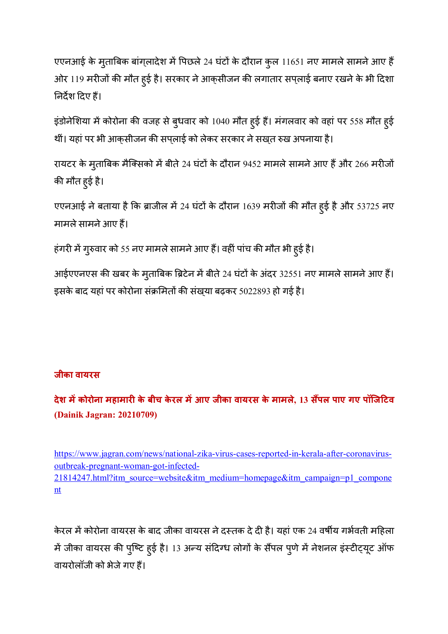एएनआई के मुताबिक बांगलादेश में पिछले 24 घंटों के दौरान कुल 11651 नए मामले सामने आए हैं ओर 119 मरीजों की मौत हुई है। सरकार ने आक्सीजन की लगातार सप्लाई बनाए रखने के भी दिशा निर्देश दिए हैं।

इंडोनेशिया में कोरोना की वजह से बुधवार को 1040 मौत हुई हैं। मंगलवार को वहां पर 558 मौत हुई थीं। यहां पर भी आक्सीजन की सप्लाई को लेकर सरकार ने सख़्त रुख अपनाया है।

रायटर के मुताबिक मैक्सिको में बीते 24 घंटों के दौरान 9452 मामले सामने आए हैं और 266 मरीजों की मौत हुई है।

एएनआई ने बताया है कि ब्राजील में 24 घंटों के दौरान 1639 मरीजों की मौत हुई है और 53725 नए मामले सामने आए हैं।

हंगरी में गुरुवार को 55 नए मामले सामने आए हैं। वहीं पांच की मौत भी हुई है।

आईएएनएस की खबर के मुताबिक ब्रिटेन में बीते 24 घंटों के अंदर 32551 नए मामले सामने आए हैं। इसके बाद यहां पर कोरोना संक्रमितों की संख्या बढ़कर 5022893 हो गई है।

## **जीका वायरस**

**देश मBकोरोना महामार के बीच के रल मBआए जीका वायरस के मामले, 13 सपलD पाए गए पॉिजटव (Dainik Jagran: 20210709)** 

https://www.jagran.com/news/national-zika-virus-cases-reported-in-kerala-after-coronavirusoutbreak-pregnant-woman-got-infected-21814247.html?itm\_source=website&itm\_medium=homepage&itm\_campaign=p1\_compone nt

केरल में कोरोना वायरस के बाद जीका वायरस ने दस्तक दे दी है। यहां एक 24 वर्षीय गर्भवती महिला में जीका वायरस की पुष्टि हुई है। 13 अन्य संदिग्ध लोगों के सैंपल पुणे में नेशनल इंस्टीट्यूट ऑफ वायरोलॉजी को भेजे गए हैं।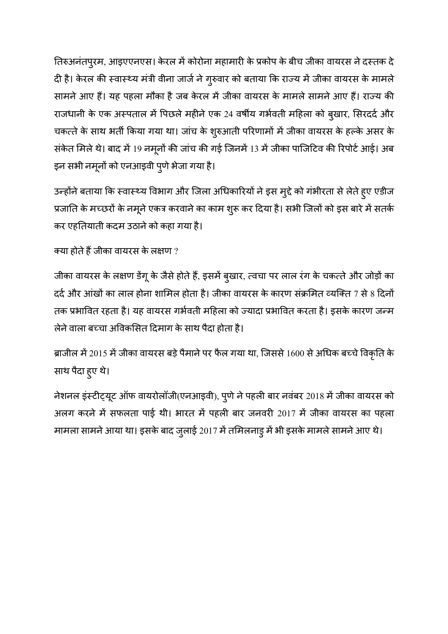तिरुअनंतपुरम, आइएएनएस। केरल में कोरोना महामारी के प्रकोप के बीच जीका वायरस ने दस्तक दे दी है। केरल की स्वास्थ्य मंत्री वीना जार्ज ने गुरुवार को बताया कि राज्य में जीका वायरस के मामले सामने आए हैं। यह पहला मौका है जब केरल में जीका वायरस के मामले सामने आए हैं। राज्य की राजधानी के एक अस्पताल में पिछले महीने एक 24 वर्षीय गर्भवती महिला को बुखार, सिरदर्द और चकत्ते के साथ भर्ती किया गया था। जांच के शुरुआती परिणामों में जीका वायरस के हल्के असर के संकेत मिले थे। बाद में 19 नमूनों की जांच की गई जिनमें 13 में जीका पाजिटिव की रिपोर्ट आई। अब इन सभी नमूनों को एनआइवी पुणे भेजा गया है।

उन्होंने बताया कि स्वास्थ्य विभाग और जिला अधिकारियों ने इस मुद्दे को गंभीरता से लेते हुए एडीज प्रजाति के मच्छरों के नमूने एकत्र करवाने का काम शुरू कर दिया है। सभी जिलों को इस बारे में सतर्क कर एहतियाती कदम उठाने को कहा गया है।

क्या होते हैं जीका वायरस के लक्षण ?

जीका वायरस के लक्षण डेंगू के जैसे होते हैं, इसमें बुखार, त्वचा पर लाल रंग के चकत्ते और जोड़ों का दर्द और आंखों का लाल होना शामिल होता है। जीका वायरस के कारण संक्रमित व्यक्ति 7 से 8 दिनों तक प्रभावित रहता है। यह वायरस गर्भवती महिला को ज्यादा प्रभावित करता है। इसके कारण जन्म लेने वाला बच्चा अविकसित दिमाग के साथ पैदा होता है।

ब्राजील में 2015 में जीका वायरस बड़े पैमाने पर फैल गया था, जिससे 1600 से अधिक बच्चे विकृति के साथ पैदा हुए थे।

नेशनल इंस्टीट्यूट ऑफ वायरोलॉजी(एनआइवी), पुणे ने पहली बार नवंबर 2018 में जीका वायरस को अलग करने में सफलता पाई थी। भारत में पहली बार जनवरी 2017 में जीका वायरस का पहला मामला सामने आया था। इसके बाद जुलाई 2017 में तमिलनाडु में भी इसके मामले सामने आए थे।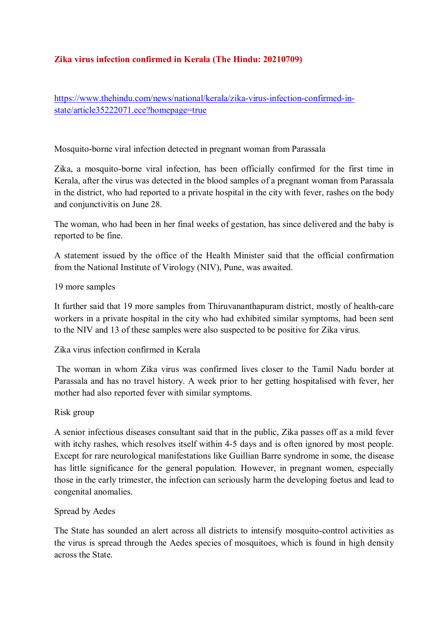### **Zika virus infection confirmed in Kerala (The Hindu: 20210709)**

https://www.thehindu.com/news/national/kerala/zika-virus-infection-confirmed-instate/article35222071.ece?homepage=true

Mosquito-borne viral infection detected in pregnant woman from Parassala

Zika, a mosquito-borne viral infection, has been officially confirmed for the first time in Kerala, after the virus was detected in the blood samples of a pregnant woman from Parassala in the district, who had reported to a private hospital in the city with fever, rashes on the body and conjunctivitis on June 28.

The woman, who had been in her final weeks of gestation, has since delivered and the baby is reported to be fine.

A statement issued by the office of the Health Minister said that the official confirmation from the National Institute of Virology (NIV), Pune, was awaited.

#### 19 more samples

It further said that 19 more samples from Thiruvananthapuram district, mostly of health-care workers in a private hospital in the city who had exhibited similar symptoms, had been sent to the NIV and 13 of these samples were also suspected to be positive for Zika virus.

Zika virus infection confirmed in Kerala

 The woman in whom Zika virus was confirmed lives closer to the Tamil Nadu border at Parassala and has no travel history. A week prior to her getting hospitalised with fever, her mother had also reported fever with similar symptoms.

#### Risk group

A senior infectious diseases consultant said that in the public, Zika passes off as a mild fever with itchy rashes, which resolves itself within 4-5 days and is often ignored by most people. Except for rare neurological manifestations like Guillian Barre syndrome in some, the disease has little significance for the general population. However, in pregnant women, especially those in the early trimester, the infection can seriously harm the developing foetus and lead to congenital anomalies.

#### Spread by Aedes

The State has sounded an alert across all districts to intensify mosquito-control activities as the virus is spread through the Aedes species of mosquitoes, which is found in high density across the State.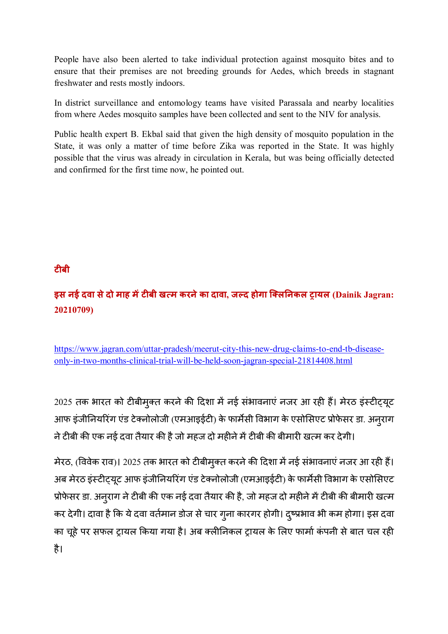People have also been alerted to take individual protection against mosquito bites and to ensure that their premises are not breeding grounds for Aedes, which breeds in stagnant freshwater and rests mostly indoors.

In district surveillance and entomology teams have visited Parassala and nearby localities from where Aedes mosquito samples have been collected and sent to the NIV for analysis.

Public health expert B. Ekbal said that given the high density of mosquito population in the State, it was only a matter of time before Zika was reported in the State. It was highly possible that the virus was already in circulation in Kerala, but was being officially detected and confirmed for the first time now, he pointed out.

## **टबी**

**इस नई दवा सेदो माह मBटबी खKम करनेका दावा, ज
द होगा ि लAनकल ायल (Dainik Jagran: 20210709)** 

https://www.jagran.com/uttar-pradesh/meerut-city-this-new-drug-claims-to-end-tb-diseaseonly-in-two-months-clinical-trial-will-be-held-soon-jagran-special-21814408.html

2025 तक भारत को टीबीमुक्त करने की दिशा में नई संभावनाएं नजर आ रही हैं। मेरठ इंस्टीट्यूट आफ इंजीनियरिंग एंड टेक्नोलोजी (एमआइईटी) के फार्मेसी विभाग के एसोसिएट प्रोफेसर डा. अनुराग ने टीबी की एक नई दवा तैयार की है जो महज दो महीने में टीबी की बीमारी खत्म कर देगी।

मेरठ, (विवेक राव)। 2025 तक भारत को टीबीमुक्त करने की दिशा में नई संभावनाएं नजर आ रही हैं। अब मेरठ इंस्टीट्यूट आफ इंजीनियरिंग एंड टेक्नोलोजी (एमआइईटी) के फार्मेसी विभाग के एसोसिएट प्रोफेसर डा. अनुराग ने टीबी की एक नई दवा तैयार की है, जो महज दो महीने में टीबी की बीमारी खत्म कर देगी। दावा है कि ये दवा वर्तमान डोज से चार गुना कारगर होगी। दुष्प्रभाव भी कम होगा। इस दवा का चूहे पर सफल ट्रायल किया गया है। अब क्लीनिकल ट्रायल के लिए फार्मा कंपनी से बात चल रही है।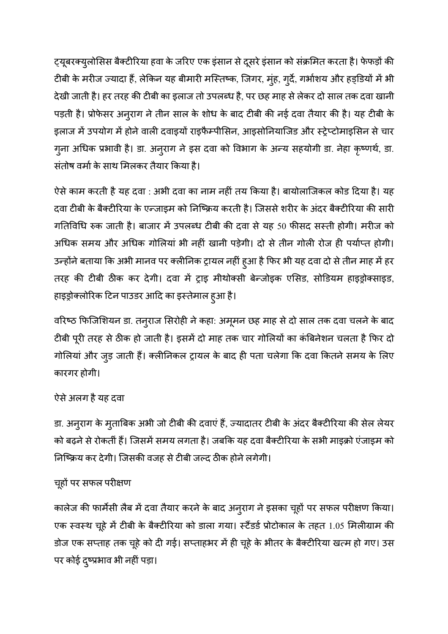ट्यूबरक्यूलोसिस बैक्टीरिया हवा के जरिए एक इंसान से दूसरे इंसान को संक्रमित करता है। फेफड़ों की टीबी के मरीज ज्यादा हैं, लेकिन यह बीमारी मस्तिष्क, जिगर, मुंह, गुर्दे, गर्भाशय और हड्डियों में भी देखी जाती है। हर तरह की टीबी का इलाज तो उपलब्ध है, पर छह माह से लेकर दो साल तक दवा खानी पड़ती है। प्रोफेसर अन्**राग ने तीन साल के शोध के बाद टीबी की न**ई दवा तैयार की है। यह टीबी के इलाज में उपयोग में होने वाली दवाइयों राइफैम्पीसिन, आइसोनियाजिड और स्ट्रेप्टोमाइसिन से चार गुना अधिक प्रभावी है। डा. अनुराग ने इस दवा को विभाग के अन्य सहयोगी डा. नेहा कृष्णर्थ, डा. संतोष वर्मा के साथ मिलकर तैयार किया है।

ऐसे काम करती है यह दवा : अभी दवा का नाम नहीं तय किया है। बायोलाजिकल कोड दिया है। यह दवा टीबी के बैक्टीरिया के एन्जाइम को निष्क्रिय करती है। जिससे शरीर के अंदर बैक्टीरिया की सारी गतिविधि रुक जाती है। बाजार में उपलब्ध टीबी की दवा से यह 50 फीसद सस्ती होगी। मरीज को अधिक समय और अधिक गोलियां भी नहीं खानी पड़ेगी। दो से तीन गोली रोज ही पर्याप्त होगी। उन्होंने बताया कि अभी मानव पर क्लीनिक ट्रायल नहीं हुआ है फिर भी यह दवा दो से तीन माह में हर तरह की टीबी ठीक कर देगी। दवा में ट्राइ मीथोक्सी बेन्जोइक एसिड, सोडियम हाइड्रोक्साइड, हाइड्रोक्लोरिक टिन पाउडर आदि का इस्तेमाल हुआ है।

वरिष्ठ फिजिशियन डा. तनुराज सिरोही ने कहा: अमूमन छह माह से दो साल तक दवा चलने के बाद टीबी पूरी तरह से ठीक हो जाती है। इसमें दो माह तक चार गोलियों का कंबिनेशन चलता है फिर दो गोलियां और जुड़ जाती हैं। क्लीनिकल ट्रायल के बाद ही पता चलेगा कि दवा कितने समय के लिए कारगर होगी।

## ऐसे अलग है यह दवा

डा. अन्**राग के म्**ताबिक अभी जो टीबी की दवाएं हैं, ज्यादातर टीबी के अंदर बैक्टीरिया की सेल लेयर को बढ़ने से रोकतीं हैं। जिसमें समय लगता है। जबकि यह दवा बैक्टीरिया के सभी माइक्रो एंजाइम को निष्क्रिय कर देगी। जिसकी वजह से टीबी जल्द ठीक होने लगेगी।

## चूहों पर सफल परीक्षण

कालेज की फार्मेसी लैब में दवा तैयार करने के बाद अनुराग ने इसका चूहों पर सफल परीक्षण किया। एक स्वस्थ चूहे में टीबी के बैक्टीरिया को डाला गया। स्टैंडर्ड प्रोटोकाल के तहत 1.05 मिलीग्राम की डोज एक सप्ताह तक चूहे को दी गई। सप्ताहभर में ही चूहे के भीतर के बैक्टीरिया खत्म हो गए। उस पर कोई दुष्प्रभाव भी नहीं पड़ा।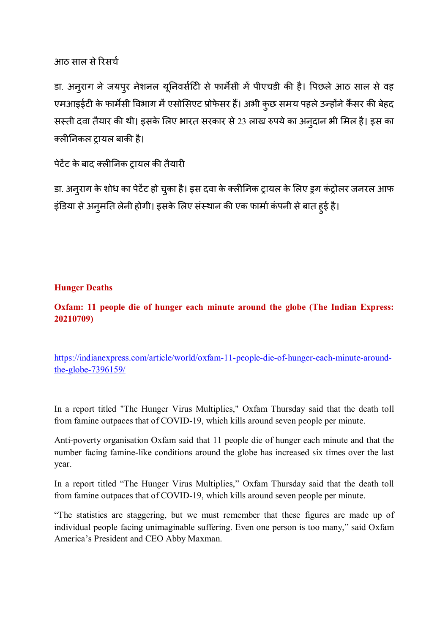आठ साल से रिसर्च

डा. अनुराग ने जयपुर नेशनल यूनिवर्साटी से फार्मेसी में पीएचडी की है। पिछले आठ साल से वह एमआइईटी के फार्मेसी विभाग में एसोसिएट प्रोफेसर हैं। अभी कुछ समय पहले उन्होंने कैंसर की बेहद सस्ती दवा तैयार की थी। इसके लिए भारत सरकार से 23 लाख रुपये का अनुदान भी मिल है। इस का क्लीनिकल ट्रायल बाकी है।

पेटेंट के बाद क्लीनिक टायल की तैयारी

डा. अनुराग के शोध का पेटेंट हो चुका है। इस दवा के क्लीनिक ट्रायल के लिए ड्रग कंट्रोलर जनरल आफ इंडिया से अनुमति लेनी होगी। इसके लिए संस्थान की एक फार्मा कंपनी से बात हुई है।

## **Hunger Deaths**

## **Oxfam: 11 people die of hunger each minute around the globe (The Indian Express: 20210709)**

https://indianexpress.com/article/world/oxfam-11-people-die-of-hunger-each-minute-aroundthe-globe-7396159/

In a report titled "The Hunger Virus Multiplies," Oxfam Thursday said that the death toll from famine outpaces that of COVID-19, which kills around seven people per minute.

Anti-poverty organisation Oxfam said that 11 people die of hunger each minute and that the number facing famine-like conditions around the globe has increased six times over the last year.

In a report titled "The Hunger Virus Multiplies," Oxfam Thursday said that the death toll from famine outpaces that of COVID-19, which kills around seven people per minute.

"The statistics are staggering, but we must remember that these figures are made up of individual people facing unimaginable suffering. Even one person is too many," said Oxfam America's President and CEO Abby Maxman.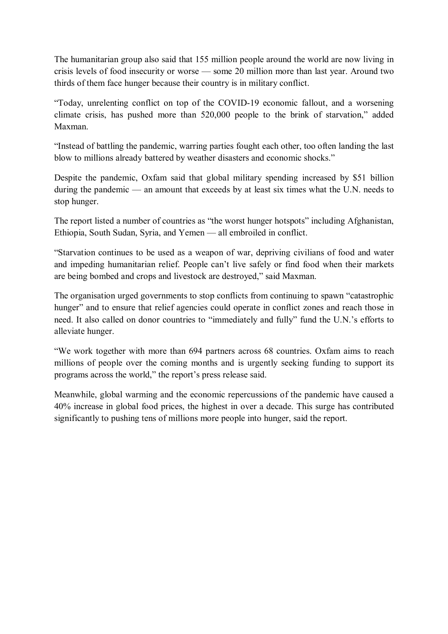The humanitarian group also said that 155 million people around the world are now living in crisis levels of food insecurity or worse — some 20 million more than last year. Around two thirds of them face hunger because their country is in military conflict.

"Today, unrelenting conflict on top of the COVID-19 economic fallout, and a worsening climate crisis, has pushed more than 520,000 people to the brink of starvation," added Maxman.

"Instead of battling the pandemic, warring parties fought each other, too often landing the last blow to millions already battered by weather disasters and economic shocks."

Despite the pandemic, Oxfam said that global military spending increased by \$51 billion during the pandemic — an amount that exceeds by at least six times what the U.N. needs to stop hunger.

The report listed a number of countries as "the worst hunger hotspots" including Afghanistan, Ethiopia, South Sudan, Syria, and Yemen — all embroiled in conflict.

"Starvation continues to be used as a weapon of war, depriving civilians of food and water and impeding humanitarian relief. People can't live safely or find food when their markets are being bombed and crops and livestock are destroyed," said Maxman.

The organisation urged governments to stop conflicts from continuing to spawn "catastrophic hunger" and to ensure that relief agencies could operate in conflict zones and reach those in need. It also called on donor countries to "immediately and fully" fund the U.N.'s efforts to alleviate hunger.

"We work together with more than 694 partners across 68 countries. Oxfam aims to reach millions of people over the coming months and is urgently seeking funding to support its programs across the world," the report's press release said.

Meanwhile, global warming and the economic repercussions of the pandemic have caused a 40% increase in global food prices, the highest in over a decade. This surge has contributed significantly to pushing tens of millions more people into hunger, said the report.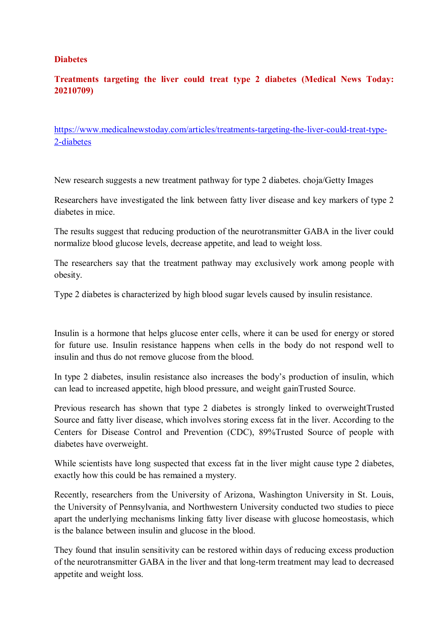#### **Diabetes**

## **Treatments targeting the liver could treat type 2 diabetes (Medical News Today: 20210709)**

https://www.medicalnewstoday.com/articles/treatments-targeting-the-liver-could-treat-type-2-diabetes

New research suggests a new treatment pathway for type 2 diabetes. choja/Getty Images

Researchers have investigated the link between fatty liver disease and key markers of type 2 diabetes in mice.

The results suggest that reducing production of the neurotransmitter GABA in the liver could normalize blood glucose levels, decrease appetite, and lead to weight loss.

The researchers say that the treatment pathway may exclusively work among people with obesity.

Type 2 diabetes is characterized by high blood sugar levels caused by insulin resistance.

Insulin is a hormone that helps glucose enter cells, where it can be used for energy or stored for future use. Insulin resistance happens when cells in the body do not respond well to insulin and thus do not remove glucose from the blood.

In type 2 diabetes, insulin resistance also increases the body's production of insulin, which can lead to increased appetite, high blood pressure, and weight gainTrusted Source.

Previous research has shown that type 2 diabetes is strongly linked to overweightTrusted Source and fatty liver disease, which involves storing excess fat in the liver. According to the Centers for Disease Control and Prevention (CDC), 89%Trusted Source of people with diabetes have overweight.

While scientists have long suspected that excess fat in the liver might cause type 2 diabetes, exactly how this could be has remained a mystery.

Recently, researchers from the University of Arizona, Washington University in St. Louis, the University of Pennsylvania, and Northwestern University conducted two studies to piece apart the underlying mechanisms linking fatty liver disease with glucose homeostasis, which is the balance between insulin and glucose in the blood.

They found that insulin sensitivity can be restored within days of reducing excess production of the neurotransmitter GABA in the liver and that long-term treatment may lead to decreased appetite and weight loss.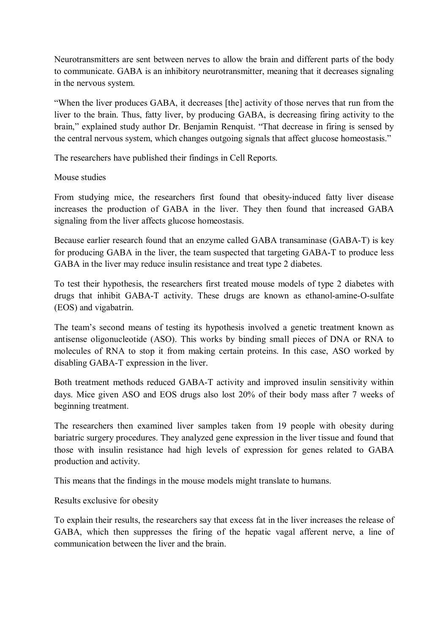Neurotransmitters are sent between nerves to allow the brain and different parts of the body to communicate. GABA is an inhibitory neurotransmitter, meaning that it decreases signaling in the nervous system.

"When the liver produces GABA, it decreases [the] activity of those nerves that run from the liver to the brain. Thus, fatty liver, by producing GABA, is decreasing firing activity to the brain," explained study author Dr. Benjamin Renquist. "That decrease in firing is sensed by the central nervous system, which changes outgoing signals that affect glucose homeostasis."

The researchers have published their findings in Cell Reports.

Mouse studies

From studying mice, the researchers first found that obesity-induced fatty liver disease increases the production of GABA in the liver. They then found that increased GABA signaling from the liver affects glucose homeostasis.

Because earlier research found that an enzyme called GABA transaminase (GABA-T) is key for producing GABA in the liver, the team suspected that targeting GABA-T to produce less GABA in the liver may reduce insulin resistance and treat type 2 diabetes.

To test their hypothesis, the researchers first treated mouse models of type 2 diabetes with drugs that inhibit GABA-T activity. These drugs are known as ethanol-amine-O-sulfate (EOS) and vigabatrin.

The team's second means of testing its hypothesis involved a genetic treatment known as antisense oligonucleotide (ASO). This works by binding small pieces of DNA or RNA to molecules of RNA to stop it from making certain proteins. In this case, ASO worked by disabling GABA-T expression in the liver.

Both treatment methods reduced GABA-T activity and improved insulin sensitivity within days. Mice given ASO and EOS drugs also lost 20% of their body mass after 7 weeks of beginning treatment.

The researchers then examined liver samples taken from 19 people with obesity during bariatric surgery procedures. They analyzed gene expression in the liver tissue and found that those with insulin resistance had high levels of expression for genes related to GABA production and activity.

This means that the findings in the mouse models might translate to humans.

Results exclusive for obesity

To explain their results, the researchers say that excess fat in the liver increases the release of GABA, which then suppresses the firing of the hepatic vagal afferent nerve, a line of communication between the liver and the brain.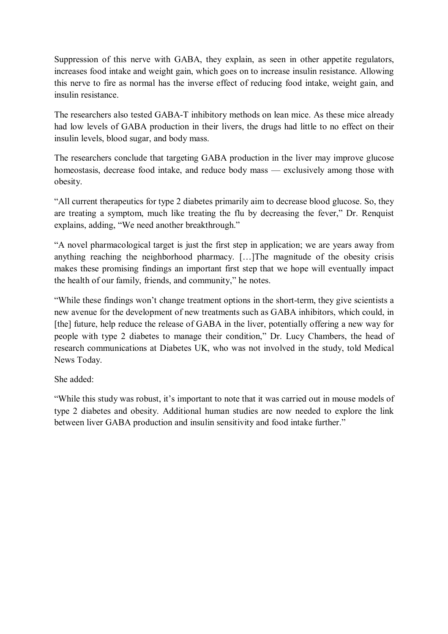Suppression of this nerve with GABA, they explain, as seen in other appetite regulators, increases food intake and weight gain, which goes on to increase insulin resistance. Allowing this nerve to fire as normal has the inverse effect of reducing food intake, weight gain, and insulin resistance.

The researchers also tested GABA-T inhibitory methods on lean mice. As these mice already had low levels of GABA production in their livers, the drugs had little to no effect on their insulin levels, blood sugar, and body mass.

The researchers conclude that targeting GABA production in the liver may improve glucose homeostasis, decrease food intake, and reduce body mass — exclusively among those with obesity.

"All current therapeutics for type 2 diabetes primarily aim to decrease blood glucose. So, they are treating a symptom, much like treating the flu by decreasing the fever," Dr. Renquist explains, adding, "We need another breakthrough."

"A novel pharmacological target is just the first step in application; we are years away from anything reaching the neighborhood pharmacy. […]The magnitude of the obesity crisis makes these promising findings an important first step that we hope will eventually impact the health of our family, friends, and community," he notes.

"While these findings won't change treatment options in the short-term, they give scientists a new avenue for the development of new treatments such as GABA inhibitors, which could, in [the] future, help reduce the release of GABA in the liver, potentially offering a new way for people with type 2 diabetes to manage their condition," Dr. Lucy Chambers, the head of research communications at Diabetes UK, who was not involved in the study, told Medical News Today.

#### She added:

"While this study was robust, it's important to note that it was carried out in mouse models of type 2 diabetes and obesity. Additional human studies are now needed to explore the link between liver GABA production and insulin sensitivity and food intake further."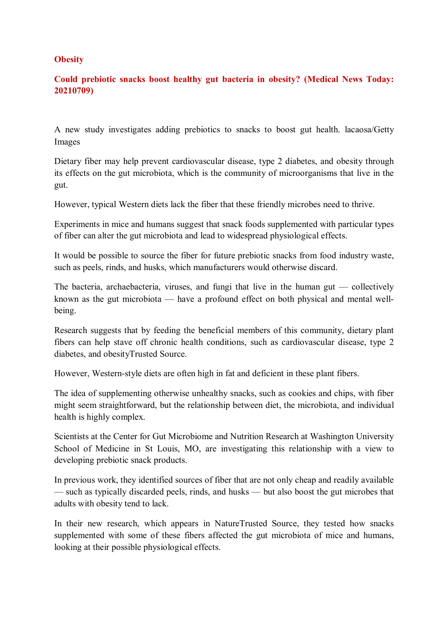#### **Obesity**

## **Could prebiotic snacks boost healthy gut bacteria in obesity? (Medical News Today: 20210709)**

A new study investigates adding prebiotics to snacks to boost gut health. lacaosa/Getty Images

Dietary fiber may help prevent cardiovascular disease, type 2 diabetes, and obesity through its effects on the gut microbiota, which is the community of microorganisms that live in the gut.

However, typical Western diets lack the fiber that these friendly microbes need to thrive.

Experiments in mice and humans suggest that snack foods supplemented with particular types of fiber can alter the gut microbiota and lead to widespread physiological effects.

It would be possible to source the fiber for future prebiotic snacks from food industry waste, such as peels, rinds, and husks, which manufacturers would otherwise discard.

The bacteria, archaebacteria, viruses, and fungi that live in the human gut — collectively known as the gut microbiota — have a profound effect on both physical and mental wellbeing.

Research suggests that by feeding the beneficial members of this community, dietary plant fibers can help stave off chronic health conditions, such as cardiovascular disease, type 2 diabetes, and obesityTrusted Source.

However, Western-style diets are often high in fat and deficient in these plant fibers.

The idea of supplementing otherwise unhealthy snacks, such as cookies and chips, with fiber might seem straightforward, but the relationship between diet, the microbiota, and individual health is highly complex.

Scientists at the Center for Gut Microbiome and Nutrition Research at Washington University School of Medicine in St Louis, MO, are investigating this relationship with a view to developing prebiotic snack products.

In previous work, they identified sources of fiber that are not only cheap and readily available — such as typically discarded peels, rinds, and husks — but also boost the gut microbes that adults with obesity tend to lack.

In their new research, which appears in NatureTrusted Source, they tested how snacks supplemented with some of these fibers affected the gut microbiota of mice and humans, looking at their possible physiological effects.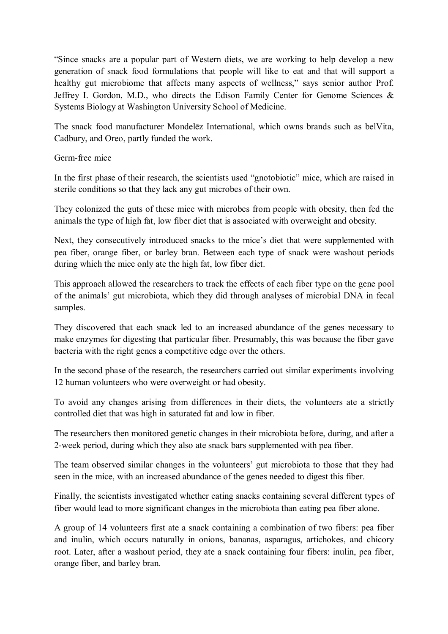"Since snacks are a popular part of Western diets, we are working to help develop a new generation of snack food formulations that people will like to eat and that will support a healthy gut microbiome that affects many aspects of wellness," says senior author Prof. Jeffrey I. Gordon, M.D., who directs the Edison Family Center for Genome Sciences & Systems Biology at Washington University School of Medicine.

The snack food manufacturer Mondelēz International, which owns brands such as belVita, Cadbury, and Oreo, partly funded the work.

#### Germ-free mice

In the first phase of their research, the scientists used "gnotobiotic" mice, which are raised in sterile conditions so that they lack any gut microbes of their own.

They colonized the guts of these mice with microbes from people with obesity, then fed the animals the type of high fat, low fiber diet that is associated with overweight and obesity.

Next, they consecutively introduced snacks to the mice's diet that were supplemented with pea fiber, orange fiber, or barley bran. Between each type of snack were washout periods during which the mice only ate the high fat, low fiber diet.

This approach allowed the researchers to track the effects of each fiber type on the gene pool of the animals' gut microbiota, which they did through analyses of microbial DNA in fecal samples.

They discovered that each snack led to an increased abundance of the genes necessary to make enzymes for digesting that particular fiber. Presumably, this was because the fiber gave bacteria with the right genes a competitive edge over the others.

In the second phase of the research, the researchers carried out similar experiments involving 12 human volunteers who were overweight or had obesity.

To avoid any changes arising from differences in their diets, the volunteers ate a strictly controlled diet that was high in saturated fat and low in fiber.

The researchers then monitored genetic changes in their microbiota before, during, and after a 2-week period, during which they also ate snack bars supplemented with pea fiber.

The team observed similar changes in the volunteers' gut microbiota to those that they had seen in the mice, with an increased abundance of the genes needed to digest this fiber.

Finally, the scientists investigated whether eating snacks containing several different types of fiber would lead to more significant changes in the microbiota than eating pea fiber alone.

A group of 14 volunteers first ate a snack containing a combination of two fibers: pea fiber and inulin, which occurs naturally in onions, bananas, asparagus, artichokes, and chicory root. Later, after a washout period, they ate a snack containing four fibers: inulin, pea fiber, orange fiber, and barley bran.